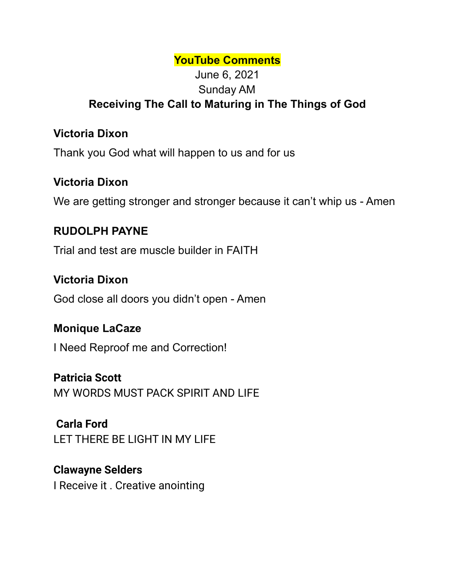#### **YouTube Comments**

# June 6, 2021 Sunday AM **Receiving The Call to Maturing in The Things of God**

## **Victoria Dixon**

Thank you God what will happen to us and for us

## **Victoria Dixon**

We are getting stronger and stronger because it can't whip us - Amen

## **RUDOLPH PAYNE**

Trial and test are muscle builder in FAITH

## **Victoria Dixon**

God close all doors you didn't open - Amen

#### **Monique LaCaze**

I Need Reproof me and Correction!

#### **Patricia Scott**

MY WORDS MUST PACK SPIRIT AND LIFE

# **Carla Ford**

LET THERE BE LIGHT IN MY LIFE

## **Clawayne Selders**

I Receive it . Creative anointing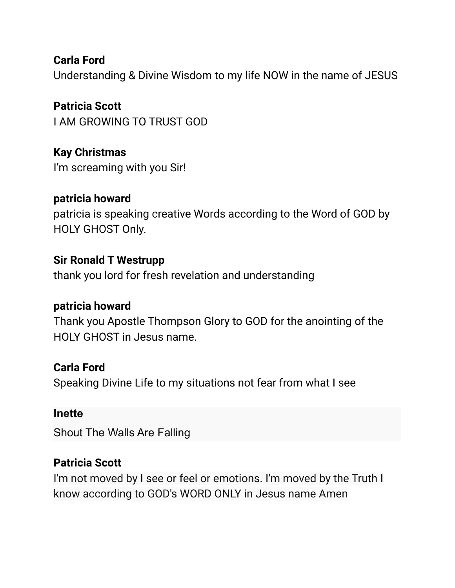**Carla Ford** Understanding & Divine Wisdom to my life NOW in the name of JESUS

**Patricia Scott** I AM GROWING TO TRUST GOD

**Kay Christmas** I'm screaming with you Sir!

# **patricia howard**

patricia is speaking creative Words according to the Word of GOD by HOLY GHOST Only.

# **Sir Ronald T Westrupp**

thank you lord for fresh revelation and understanding

# **patricia howard**

Thank you Apostle Thompson Glory to GOD for the anointing of the HOLY GHOST in Jesus name.

# **Carla Ford**

Speaking Divine Life to my situations not fear from what I see

## **Inette**

Shout The Walls Are Falling

# **Patricia Scott**

I'm not moved by I see or feel or emotions. I'm moved by the Truth I know according to GOD's WORD ONLY in Jesus name Amen